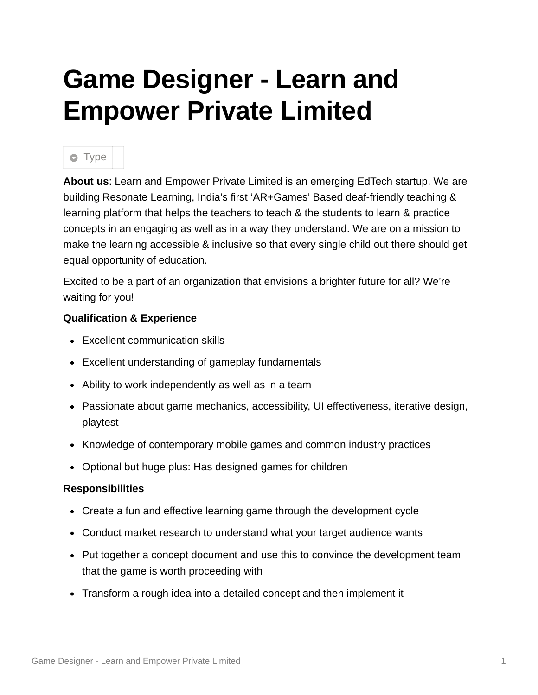## **Game Designer - Learn and Empower Private Limited**

## **o** Type

**About us**: Learn and Empower Private Limited is an emerging EdTech startup. We are building Resonate Learning, India's first 'AR+Games' Based deaf-friendly teaching & learning platform that helps the teachers to teach & the students to learn & practice concepts in an engaging as well as in a way they understand. We are on a mission to make the learning accessible & inclusive so that every single child out there should get equal opportunity of education.

Excited to be a part of an organization that envisions a brighter future for all? We're waiting for you!

## **Qualification & Experience**

- Excellent communication skills
- Excellent understanding of gameplay fundamentals
- Ability to work independently as well as in a team
- Passionate about game mechanics, accessibility, UI effectiveness, iterative design, playtest
- Knowledge of contemporary mobile games and common industry practices
- Optional but huge plus: Has designed games for children

## **Responsibilities**

- Create a fun and effective learning game through the development cycle
- Conduct market research to understand what your target audience wants
- Put together a concept document and use this to convince the development team that the game is worth proceeding with
- Transform a rough idea into a detailed concept and then implement it